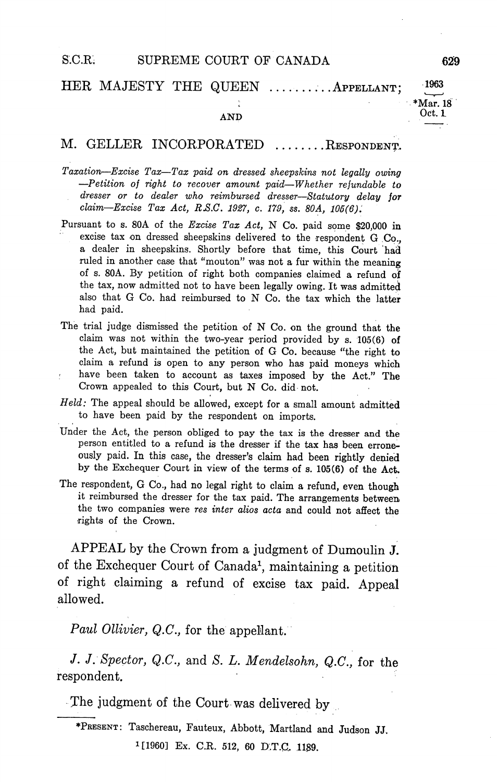## HER MAJESTY THE QUEEN ..........APPELLANT;

## AND Oct.

## M. GELLER INCORPORATED .......RESPONDENT.

- Taxation-Excise Tax-Tax paid on dressed sheepskins not legally owing  $-Petition$  of right to recover amount paid—Whether refundable to dresser or to dealer who reimbursed dresser-Statutory delay for  $claim—Excise Tax Act, R.S.C. 1927, c. 179, ss. 80A, 105(6).$
- Pursuant to s. 80A of the Excise Tax Act, N Co. paid some \$20,000 in excise tax on dressed sheepskins delivered to the respondent G Co., a dealer in sheepskins. Shortly before that time, this Court had ruled in another case that "mouton" was not a fur within the meaning of s. 80A. By petition of right both companies claimed a refund of the tax, now admitted not to have been legally owing. It was admitted also that G Co. had reimbursed to N Co. the tax which the latter had paid
- The trial judge dismissed the petition of N Co. on the ground that the claim was not within the two-year period provided by  $s$ . 105 $(6)$  of the Act, but maintained the petition of G Co. because "the right to claim a refund is open to any person who has paid moneys which have been taken to account as taxes imposed by the Act." The Crown appealed to this Court, but N Co. did not.
- $Held$ : The appeal should be allowed, except for a small amount admitted to have been paid by the respondent on imports
- Under the Act, the person obliged to pay the tax is the dresser and the person entitled to a refund is the dresser if the tax has been erroneously paid. In this case, the dresser's claim had been rightly denied by the Exchequer Court in view of the terms of s. 105(6) of the Act.
- The respondent, G Co., had no legal right to claim a refund, even though it reimbursed the dresser for the tax paid. The arrangements between the two companies were res inter alios acta and could not affect the rights of the Crown

APPEAL by the Crown from a judgment of Dumoulin J. of the Exchequer Court of Canada<sup>1</sup>, maintaining a petition of right claiming a refund of excise tax paid. Appeal allowed

Paul Ollivier, Q.C., for the appellant.

J. J. Spector, Q.C., and S. L. Mendelsohn, Q.C., for the respondent

The judgment of the Court was delivered by

\*PRESENT: Taschereau, Fauteux, Abbott, Martland and Judson JJ.

<sup>1</sup>[1960] Ex. C.R. 512, 60 D.T.C. 1189.

Mar. 18

1963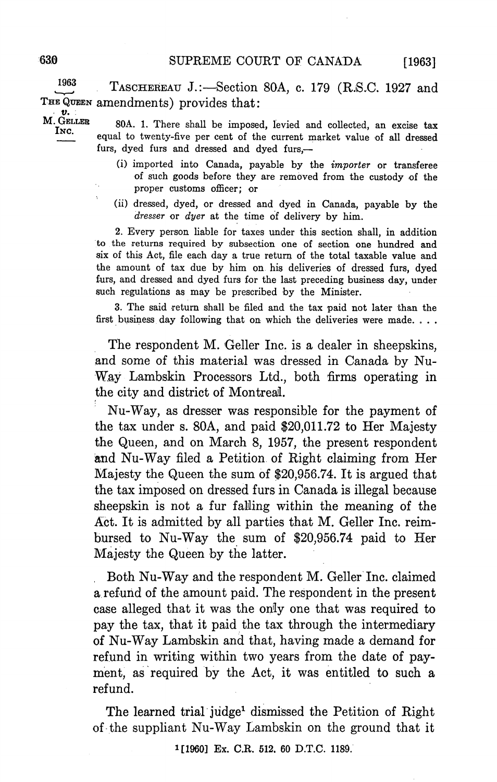$[1963]$ 

1963 TASCHEREAU J.:—Section 80A, c. 179 (R.S.C. 1927 and THE QUEEN amendments) provides that:

M. GELLER 80A. 1. There shall be imposed, levied and collected, an excise tax equal to twenty-five per cent of the current market value of all dressed furs, dyed furs and dressed and dyed furs,-

- (i) imported into Canada, payable by the *importer* or transferee of such goods before they are removed from the custody of the proper customs officer; or
- (ii) dressed, dyed, or dressed and dyed in Canada, payable by the dresser or dyer at the time of delivery by him.

2. Every person liable for taxes under this section shall, in addition to the returns required by subsection one of section one hundred and six of this Act, file each day a true return of the total taxable value and the amount of tax due by him on his deliveries of dressed furs, dyed furs, and dressed and dyed furs for the last preceding business day, under such regulations as may be prescribed by the Minister.

3. The said return shall be filed and the tax paid not later than the first business day following that on which the deliveries were made

The respondent M. Geller Inc. is a dealer in sheepskins, and some of this material was dressed in Canada by Nu Way Lambskin Processors Ltd., both firms operating in the city and district of Montreal

Nu-Way, as dresser was responsible for the payment of the tax under s. 80A, and paid  $$20,011.72$  to Her Majesty the Queen, and on March 8, 1957, the present respondent and Nu-Way filed a Petition of Right claiming from Her Majesty the Queen the sum of \$20,956.74. It is argued that the tax imposed on dressed furs in Canada is illegal because sheepskin is not a fur falling within the meaning of the Act. It is admitted by all parties that M. Geller Inc. reimbursed to Nu-Way the sum of \$20,956.74 paid to Her Majesty the Queen by the latter.

Both Nu-Way and the respondent M. Geller Inc. claimed a refund of the amount paid. The respondent in the present case alleged that it was the only one that was required to pay the tax that it paid the tax through the intermediary of Nu-Way Lambskin and that, having made a demand for refund in writing within two years from the date of pay ment, as required by the Act, it was entitled to such a refund

The learned trial judge<sup>1</sup> dismissed the Petition of Right of-the suppliant Nu-Way Lambskin on the ground that it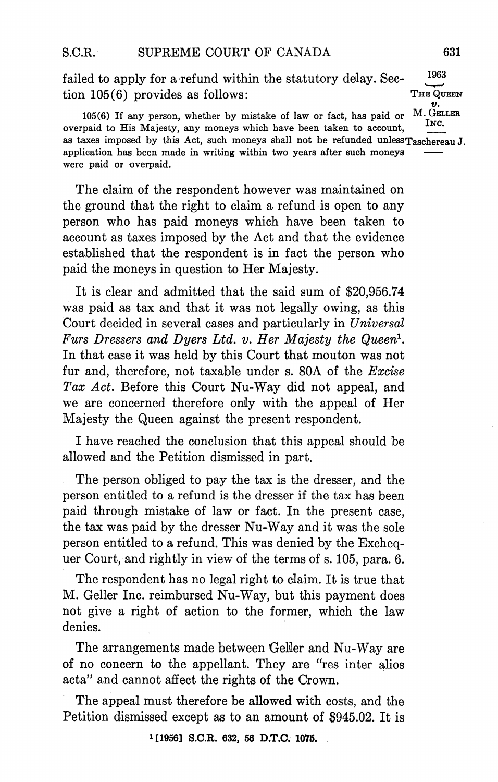1963 failed to apply for a refund within the statutory delay. Section 105(6) provides as follows:<br> $T = QU \times U$ <br>1056) If any parson whether by mistake of law or fect has paid or M. GELLER

105(6) If any person, whether by mistake of law or fact, has paid or overpaid to His Majesty, any moneys which have been taken to account, T<sub>NC</sub> as taxes imposed by this Act, such moneys shall not be refunded unless $T_{\text{aschereau}}$  J. application has been made in writing within two years after such moneys were paid or overpaid

The claim of the respondent however was maintained on the ground that the right to claim a refund is open to any person who has paid moneys which have been taken to account as taxes imposed by the Act and that the evidence established that the respondent is in fact the person who paid the moneys in question to Her Majesty

It is clear and admitted that the said sum of \$20,956.74 was paid as tax and that it was not legally owing as this Court decided in several cases and particularly in Universal Furs Dressers and Dyers Ltd. v. Her Majesty the Queen<sup>1</sup>. In that case it was held by this Court that mouton was not fur and, therefore, not taxable under s. 80A of the  $Excise$ Tax Act. Before this Court Nu-Way did not appeal, and we are concerned therefore only with the appeal of Her Majesty the Queen against the present respondent

have reached the conclusion that this appeal should be allowed and the Petition dismissed in part

The person obliged to pay the tax is the dresser, and the person entitled to a refund is the dresser if the tax has been paid through mistake of law or fact. In the present case, the tax was paid by the dresser Nu-Way and it was the sole person entitled to a refund. This was denied by the Exchequer Court, and rightly in view of the terms of  $s$ . 105, para, 6.

The respondent has no legal right to claim. It is true that M. Geller Inc. reimbursed Nu-Way, but this payment does not give a right of action to the former, which the law denies

The arrangements made between Geller and Nu-Way are of no concern to the appellant. They are "res inter alios acta" and cannot affect the rights of the Crown.

The appeal must therefore be allowed with costs, and the Petition dismissed except as to an amount of \$945.02 It is